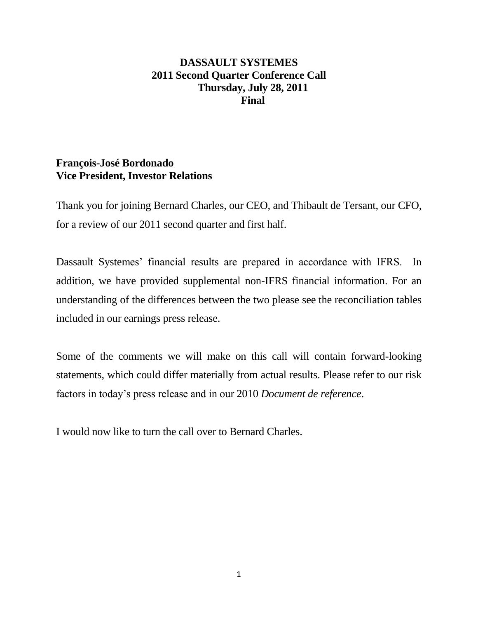# **DASSAULT SYSTEMES 2011 Second Quarter Conference Call Thursday, July 28, 2011 Final**

# **François-José Bordonado Vice President, Investor Relations**

Thank you for joining Bernard Charles, our CEO, and Thibault de Tersant, our CFO, for a review of our 2011 second quarter and first half.

Dassault Systemes' financial results are prepared in accordance with IFRS. In addition, we have provided supplemental non-IFRS financial information. For an understanding of the differences between the two please see the reconciliation tables included in our earnings press release.

Some of the comments we will make on this call will contain forward-looking statements, which could differ materially from actual results. Please refer to our risk factors in today's press release and in our 2010 *Document de reference*.

I would now like to turn the call over to Bernard Charles.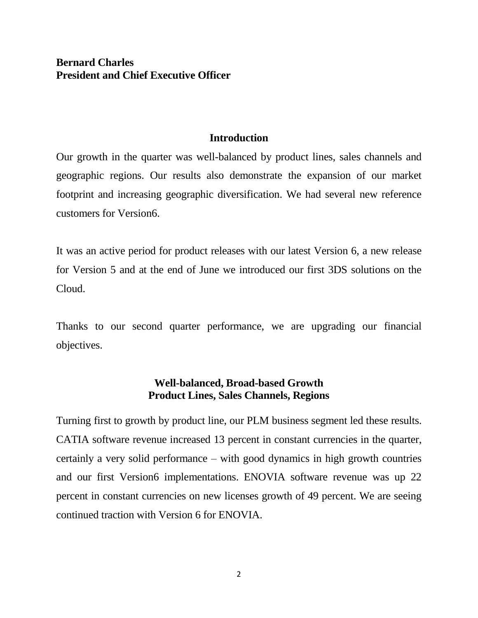# **Bernard Charles President and Chief Executive Officer**

### **Introduction**

Our growth in the quarter was well-balanced by product lines, sales channels and geographic regions. Our results also demonstrate the expansion of our market footprint and increasing geographic diversification. We had several new reference customers for Version6.

It was an active period for product releases with our latest Version 6, a new release for Version 5 and at the end of June we introduced our first 3DS solutions on the Cloud.

Thanks to our second quarter performance, we are upgrading our financial objectives.

## **Well-balanced, Broad-based Growth Product Lines, Sales Channels, Regions**

Turning first to growth by product line, our PLM business segment led these results. CATIA software revenue increased 13 percent in constant currencies in the quarter, certainly a very solid performance – with good dynamics in high growth countries and our first Version6 implementations. ENOVIA software revenue was up 22 percent in constant currencies on new licenses growth of 49 percent. We are seeing continued traction with Version 6 for ENOVIA.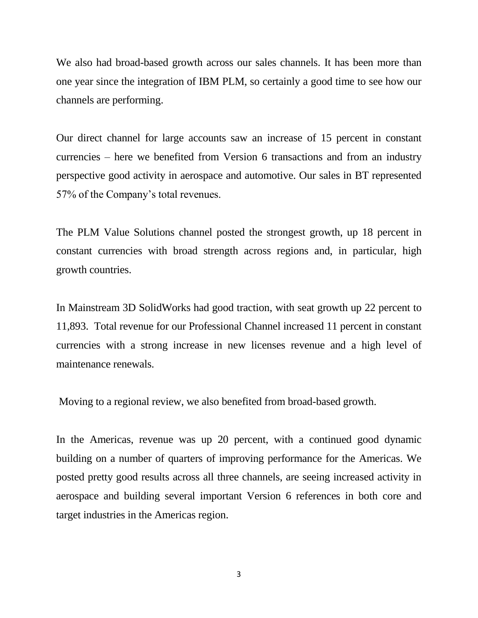We also had broad-based growth across our sales channels. It has been more than one year since the integration of IBM PLM, so certainly a good time to see how our channels are performing.

Our direct channel for large accounts saw an increase of 15 percent in constant currencies – here we benefited from Version 6 transactions and from an industry perspective good activity in aerospace and automotive. Our sales in BT represented 57% of the Company's total revenues.

The PLM Value Solutions channel posted the strongest growth, up 18 percent in constant currencies with broad strength across regions and, in particular, high growth countries.

In Mainstream 3D SolidWorks had good traction, with seat growth up 22 percent to 11,893. Total revenue for our Professional Channel increased 11 percent in constant currencies with a strong increase in new licenses revenue and a high level of maintenance renewals.

Moving to a regional review, we also benefited from broad-based growth.

In the Americas, revenue was up 20 percent, with a continued good dynamic building on a number of quarters of improving performance for the Americas. We posted pretty good results across all three channels, are seeing increased activity in aerospace and building several important Version 6 references in both core and target industries in the Americas region.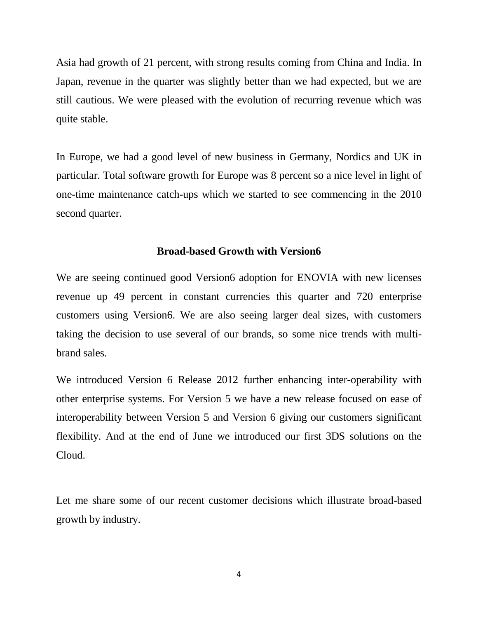Asia had growth of 21 percent, with strong results coming from China and India. In Japan, revenue in the quarter was slightly better than we had expected, but we are still cautious. We were pleased with the evolution of recurring revenue which was quite stable.

In Europe, we had a good level of new business in Germany, Nordics and UK in particular. Total software growth for Europe was 8 percent so a nice level in light of one-time maintenance catch-ups which we started to see commencing in the 2010 second quarter.

### **Broad-based Growth with Version6**

We are seeing continued good Version6 adoption for ENOVIA with new licenses revenue up 49 percent in constant currencies this quarter and 720 enterprise customers using Version6. We are also seeing larger deal sizes, with customers taking the decision to use several of our brands, so some nice trends with multibrand sales.

We introduced Version 6 Release 2012 further enhancing inter-operability with other enterprise systems. For Version 5 we have a new release focused on ease of interoperability between Version 5 and Version 6 giving our customers significant flexibility. And at the end of June we introduced our first 3DS solutions on the Cloud.

Let me share some of our recent customer decisions which illustrate broad-based growth by industry.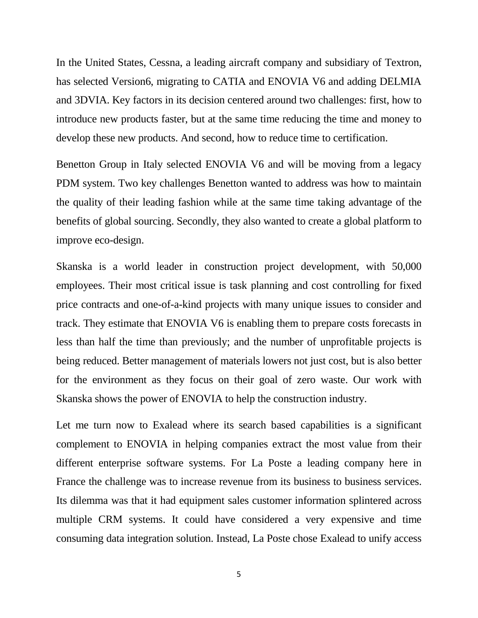In the United States, Cessna, a leading aircraft company and subsidiary of Textron, has selected Version6, migrating to CATIA and ENOVIA V6 and adding DELMIA and 3DVIA. Key factors in its decision centered around two challenges: first, how to introduce new products faster, but at the same time reducing the time and money to develop these new products. And second, how to reduce time to certification.

Benetton Group in Italy selected ENOVIA V6 and will be moving from a legacy PDM system. Two key challenges Benetton wanted to address was how to maintain the quality of their leading fashion while at the same time taking advantage of the benefits of global sourcing. Secondly, they also wanted to create a global platform to improve eco-design.

Skanska is a world leader in construction project development, with 50,000 employees. Their most critical issue is task planning and cost controlling for fixed price contracts and one-of-a-kind projects with many unique issues to consider and track. They estimate that ENOVIA V6 is enabling them to prepare costs forecasts in less than half the time than previously; and the number of unprofitable projects is being reduced. Better management of materials lowers not just cost, but is also better for the environment as they focus on their goal of zero waste. Our work with Skanska shows the power of ENOVIA to help the construction industry.

Let me turn now to Exalead where its search based capabilities is a significant complement to ENOVIA in helping companies extract the most value from their different enterprise software systems. For La Poste a leading company here in France the challenge was to increase revenue from its business to business services. Its dilemma was that it had equipment sales customer information splintered across multiple CRM systems. It could have considered a very expensive and time consuming data integration solution. Instead, La Poste chose Exalead to unify access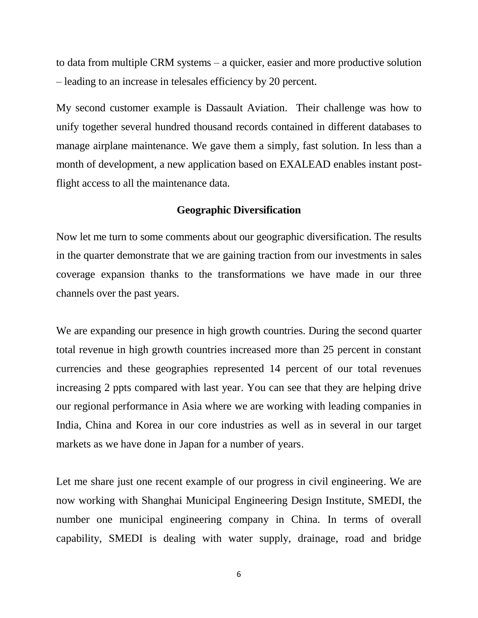to data from multiple CRM systems – a quicker, easier and more productive solution – leading to an increase in telesales efficiency by 20 percent.

My second customer example is Dassault Aviation. Their challenge was how to unify together several hundred thousand records contained in different databases to manage airplane maintenance. We gave them a simply, fast solution. In less than a month of development, a new application based on EXALEAD enables instant postflight access to all the maintenance data.

#### **Geographic Diversification**

Now let me turn to some comments about our geographic diversification. The results in the quarter demonstrate that we are gaining traction from our investments in sales coverage expansion thanks to the transformations we have made in our three channels over the past years.

We are expanding our presence in high growth countries. During the second quarter total revenue in high growth countries increased more than 25 percent in constant currencies and these geographies represented 14 percent of our total revenues increasing 2 ppts compared with last year. You can see that they are helping drive our regional performance in Asia where we are working with leading companies in India, China and Korea in our core industries as well as in several in our target markets as we have done in Japan for a number of years.

Let me share just one recent example of our progress in civil engineering. We are now working with Shanghai Municipal Engineering Design Institute, SMEDI, the number one municipal engineering company in China. In terms of overall capability, SMEDI is dealing with water supply, drainage, road and bridge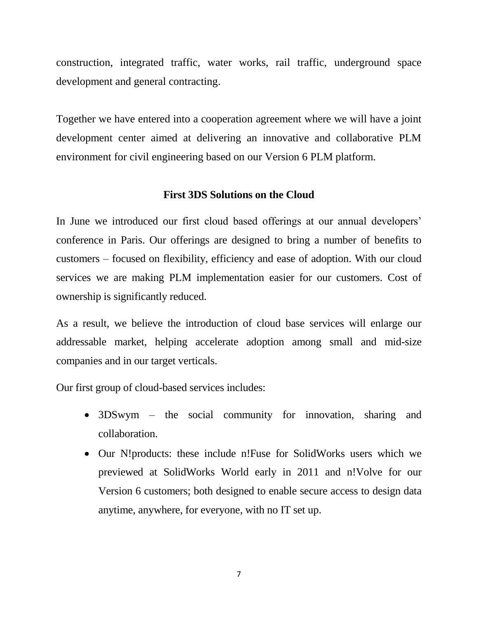construction, integrated traffic, water works, rail traffic, underground space development and general contracting.

Together we have entered into a cooperation agreement where we will have a joint development center aimed at delivering an innovative and collaborative PLM environment for civil engineering based on our Version 6 PLM platform.

## **First 3DS Solutions on the Cloud**

In June we introduced our first cloud based offerings at our annual developers' conference in Paris. Our offerings are designed to bring a number of benefits to customers – focused on flexibility, efficiency and ease of adoption. With our cloud services we are making PLM implementation easier for our customers. Cost of ownership is significantly reduced.

As a result, we believe the introduction of cloud base services will enlarge our addressable market, helping accelerate adoption among small and mid-size companies and in our target verticals.

Our first group of cloud-based services includes:

- 3DSwym the social community for innovation, sharing and collaboration.
- Our N!products: these include n!Fuse for SolidWorks users which we previewed at SolidWorks World early in 2011 and n!Volve for our Version 6 customers; both designed to enable secure access to design data anytime, anywhere, for everyone, with no IT set up.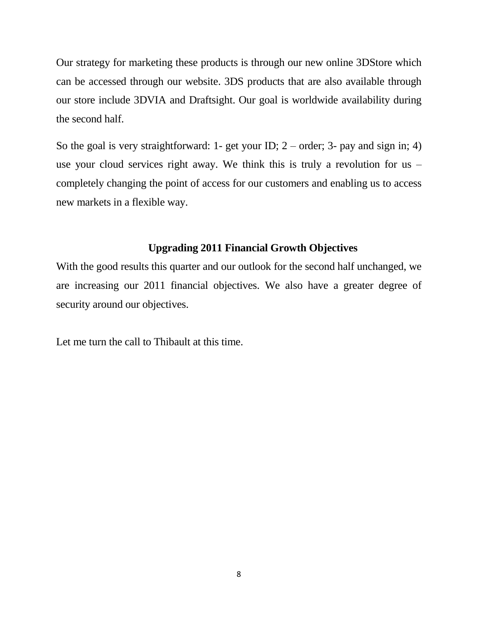Our strategy for marketing these products is through our new online 3DStore which can be accessed through our website. 3DS products that are also available through our store include 3DVIA and Draftsight. Our goal is worldwide availability during the second half.

So the goal is very straightforward: 1- get your ID;  $2$  – order; 3- pay and sign in; 4) use your cloud services right away. We think this is truly a revolution for us – completely changing the point of access for our customers and enabling us to access new markets in a flexible way.

## **Upgrading 2011 Financial Growth Objectives**

With the good results this quarter and our outlook for the second half unchanged, we are increasing our 2011 financial objectives. We also have a greater degree of security around our objectives.

Let me turn the call to Thibault at this time.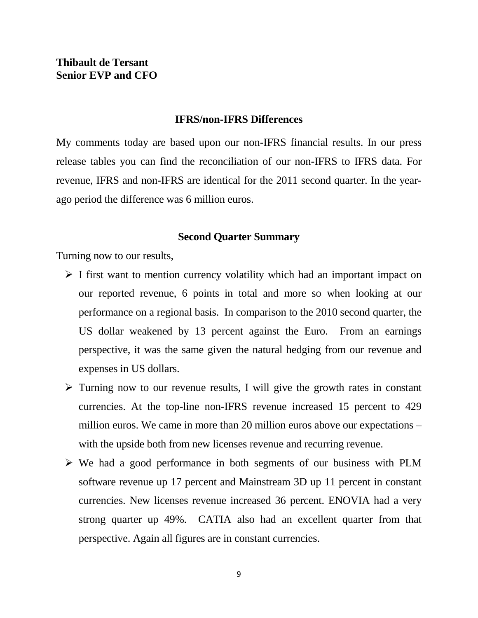# **Thibault de Tersant Senior EVP and CFO**

#### **IFRS/non-IFRS Differences**

My comments today are based upon our non-IFRS financial results. In our press release tables you can find the reconciliation of our non-IFRS to IFRS data. For revenue, IFRS and non-IFRS are identical for the 2011 second quarter. In the yearago period the difference was 6 million euros.

#### **Second Quarter Summary**

Turning now to our results,

- $\triangleright$  I first want to mention currency volatility which had an important impact on our reported revenue, 6 points in total and more so when looking at our performance on a regional basis. In comparison to the 2010 second quarter, the US dollar weakened by 13 percent against the Euro. From an earnings perspective, it was the same given the natural hedging from our revenue and expenses in US dollars.
- $\triangleright$  Turning now to our revenue results, I will give the growth rates in constant currencies. At the top-line non-IFRS revenue increased 15 percent to 429 million euros. We came in more than 20 million euros above our expectations – with the upside both from new licenses revenue and recurring revenue.
- $\triangleright$  We had a good performance in both segments of our business with PLM software revenue up 17 percent and Mainstream 3D up 11 percent in constant currencies. New licenses revenue increased 36 percent. ENOVIA had a very strong quarter up 49%. CATIA also had an excellent quarter from that perspective. Again all figures are in constant currencies.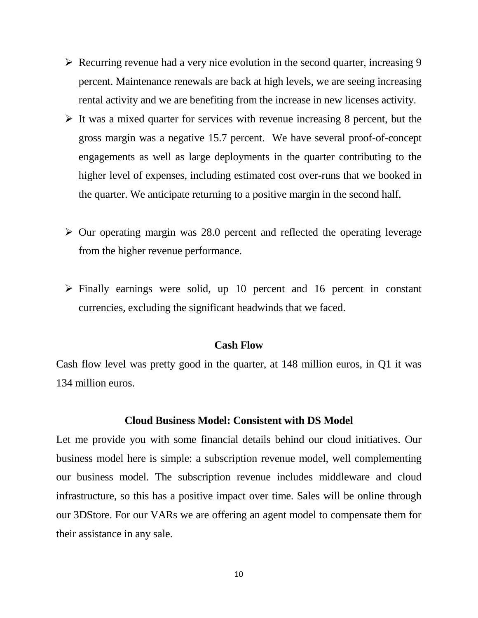- $\triangleright$  Recurring revenue had a very nice evolution in the second quarter, increasing 9 percent. Maintenance renewals are back at high levels, we are seeing increasing rental activity and we are benefiting from the increase in new licenses activity.
- $\triangleright$  It was a mixed quarter for services with revenue increasing 8 percent, but the gross margin was a negative 15.7 percent. We have several proof-of-concept engagements as well as large deployments in the quarter contributing to the higher level of expenses, including estimated cost over-runs that we booked in the quarter. We anticipate returning to a positive margin in the second half.
- $\triangleright$  Our operating margin was 28.0 percent and reflected the operating leverage from the higher revenue performance.
- $\triangleright$  Finally earnings were solid, up 10 percent and 16 percent in constant currencies, excluding the significant headwinds that we faced.

#### **Cash Flow**

Cash flow level was pretty good in the quarter, at 148 million euros, in Q1 it was 134 million euros.

#### **Cloud Business Model: Consistent with DS Model**

Let me provide you with some financial details behind our cloud initiatives. Our business model here is simple: a subscription revenue model, well complementing our business model. The subscription revenue includes middleware and cloud infrastructure, so this has a positive impact over time. Sales will be online through our 3DStore. For our VARs we are offering an agent model to compensate them for their assistance in any sale.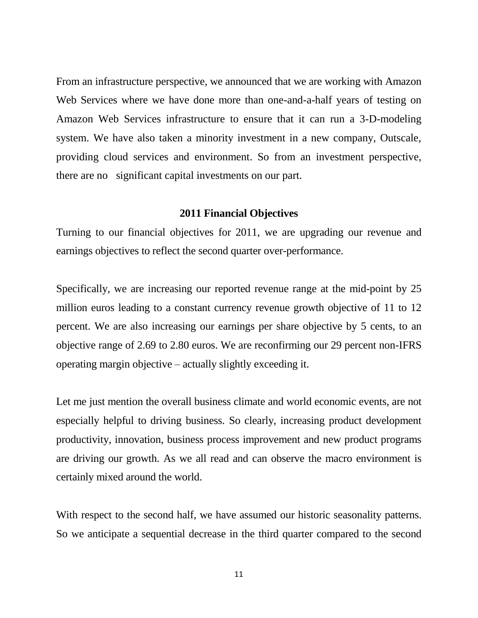From an infrastructure perspective, we announced that we are working with Amazon Web Services where we have done more than one-and-a-half years of testing on Amazon Web Services infrastructure to ensure that it can run a 3-D-modeling system. We have also taken a minority investment in a new company, Outscale, providing cloud services and environment. So from an investment perspective, there are no significant capital investments on our part.

#### **2011 Financial Objectives**

Turning to our financial objectives for 2011, we are upgrading our revenue and earnings objectives to reflect the second quarter over-performance.

Specifically, we are increasing our reported revenue range at the mid-point by 25 million euros leading to a constant currency revenue growth objective of 11 to 12 percent. We are also increasing our earnings per share objective by 5 cents, to an objective range of 2.69 to 2.80 euros. We are reconfirming our 29 percent non-IFRS operating margin objective – actually slightly exceeding it.

Let me just mention the overall business climate and world economic events, are not especially helpful to driving business. So clearly, increasing product development productivity, innovation, business process improvement and new product programs are driving our growth. As we all read and can observe the macro environment is certainly mixed around the world.

With respect to the second half, we have assumed our historic seasonality patterns. So we anticipate a sequential decrease in the third quarter compared to the second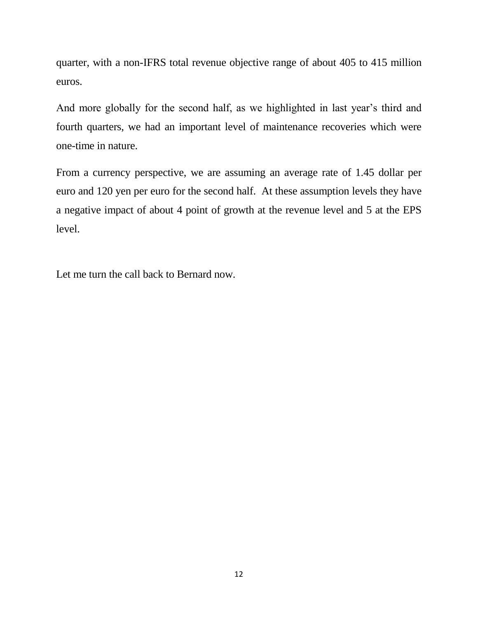quarter, with a non-IFRS total revenue objective range of about 405 to 415 million euros.

And more globally for the second half, as we highlighted in last year's third and fourth quarters, we had an important level of maintenance recoveries which were one-time in nature.

From a currency perspective, we are assuming an average rate of 1.45 dollar per euro and 120 yen per euro for the second half. At these assumption levels they have a negative impact of about 4 point of growth at the revenue level and 5 at the EPS level.

Let me turn the call back to Bernard now.